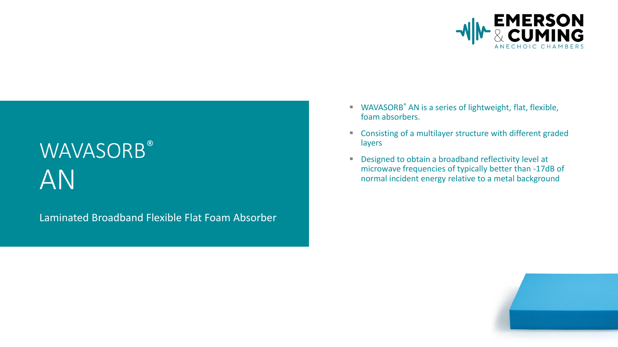

# WAVASORB® AN

Laminated Broadband Flexible Flat Foam Absorber

- WAVASORB<sup>®</sup> AN is a series of lightweight, flat, flexible, foam absorbers.
- Consisting of a multilayer structure with different graded layers
- Designed to obtain a broadband reflectivity level at microwave frequencies of typically better than -17dB of normal incident energy relative to a metal background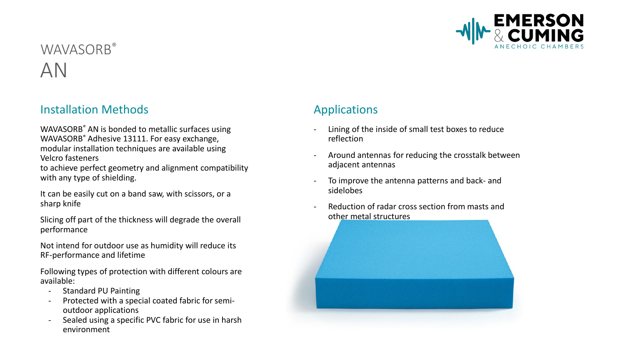

## WAVASORB® AN

### **Installation Methods Applications**

WAVASORB<sup>®</sup> AN is bonded to metallic surfaces using WAVASORB® Adhesive 13111. For easy exchange, modular installation techniques are available using Velcro fasteners

to achieve perfect geometry and alignment compatibility with any type of shielding.

It can be easily cut on a band saw, with scissors, or a sharp knife

Slicing off part of the thickness will degrade the overall performance

Not intend for outdoor use as humidity will reduce its RF-performance and lifetime

Following types of protection with different colours are available:

- Standard PU Painting
- Protected with a special coated fabric for semioutdoor applications
- Sealed using a specific PVC fabric for use in harsh environment

- Lining of the inside of small test boxes to reduce reflection
- Around antennas for reducing the crosstalk between adjacent antennas
- To improve the antenna patterns and back- and sidelobes
- Reduction of radar cross section from masts and other metal structures

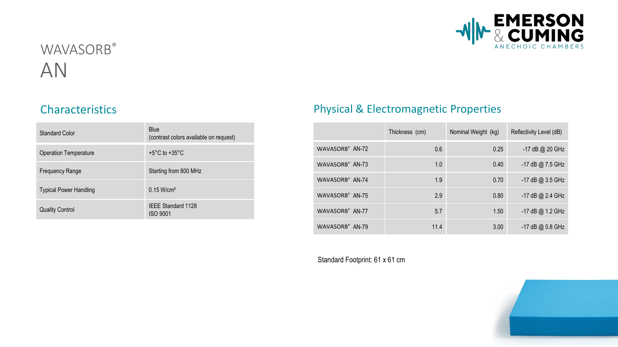

## WAVASORB® AN

| <b>Standard Color</b>         | <b>Blue</b><br>(contrast colors available on request) |
|-------------------------------|-------------------------------------------------------|
| <b>Operation Temperature</b>  | +5°C to +35°C                                         |
| <b>Frequency Range</b>        | Starting from 800 MHz                                 |
| <b>Typical Power Handling</b> | $0.15$ W/cm <sup>2</sup>                              |
| <b>Quality Control</b>        | <b>IEEE Standard 1128</b><br><b>ISO 9001</b>          |

### Characteristics **Physical & Electromagnetic Properties**

|                             | Thickness (cm) | Nominal Weight (kg) | Reflectivity Level (dB) |
|-----------------------------|----------------|---------------------|-------------------------|
| WAVASORB® AN-72             | 0.6            | 0.25                | $-17$ dB @ 20 GHz       |
| WAVASORB <sup>®</sup> AN-73 | 1.0            | 0.40                | -17 dB @ 7.5 GHz        |
| WAVASORB® AN-74             | 1.9            | 0.70                | -17 dB @ 3.5 GHz        |
| WAVASORB® AN-75             | 2.9            | 0.80                | -17 dB @ 2.4 GHz        |
| WAVASORB® AN-77             | 5.7            | 1.50                | -17 dB @ 1.2 GHz        |
| WAVASORB <sup>®</sup> AN-79 | 11.4           | 3.00                | $-17$ dB @ 0.8 GHz      |

Standard Footprint: 61 x 61 cm